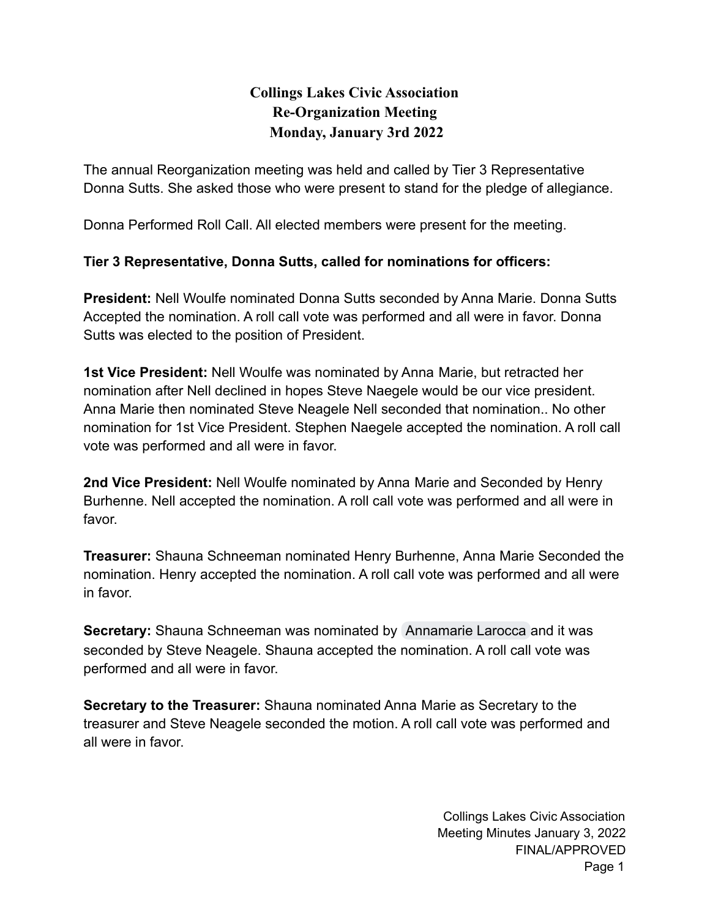## **Collings Lakes Civic Association Re-Organization Meeting Monday, January 3rd 2022**

The annual Reorganization meeting was held and called by Tier 3 Representative Donna Sutts. She asked those who were present to stand for the pledge of allegiance.

Donna Performed Roll Call. All elected members were present for the meeting.

## **Tier 3 Representative, Donna Sutts, called for nominations for officers:**

**President:** Nell Woulfe nominated Donna Sutts seconded by Anna Marie. Donna Sutts Accepted the nomination. A roll call vote was performed and all were in favor. Donna Sutts was elected to the position of President.

**1st Vice President:** Nell Woulfe was nominated by Anna Marie, but retracted her nomination after Nell declined in hopes Steve Naegele would be our vice president. Anna Marie then nominated Steve Neagele Nell seconded that nomination.. No other nomination for 1st Vice President. Stephen Naegele accepted the nomination. A roll call vote was performed and all were in favor.

**2nd Vice President:** Nell Woulfe nominated by Anna Marie and Seconded by Henry Burhenne. Nell accepted the nomination. A roll call vote was performed and all were in favor.

**Treasurer:** Shauna Schneeman nominated Henry Burhenne, Anna Marie Seconded the nomination. Henry accepted the nomination. A roll call vote was performed and all were in favor.

**Secretary:** Shauna Schneeman was nominated by [Annamarie Larocca](mailto:amltr315@yahoo.com) and it was seconded by Steve Neagele. Shauna accepted the nomination. A roll call vote was performed and all were in favor.

**Secretary to the Treasurer:** Shauna nominated Anna Marie as Secretary to the treasurer and Steve Neagele seconded the motion. A roll call vote was performed and all were in favor.

> Collings Lakes Civic Association Meeting Minutes January 3, 2022 FINAL/APPROVED Page 1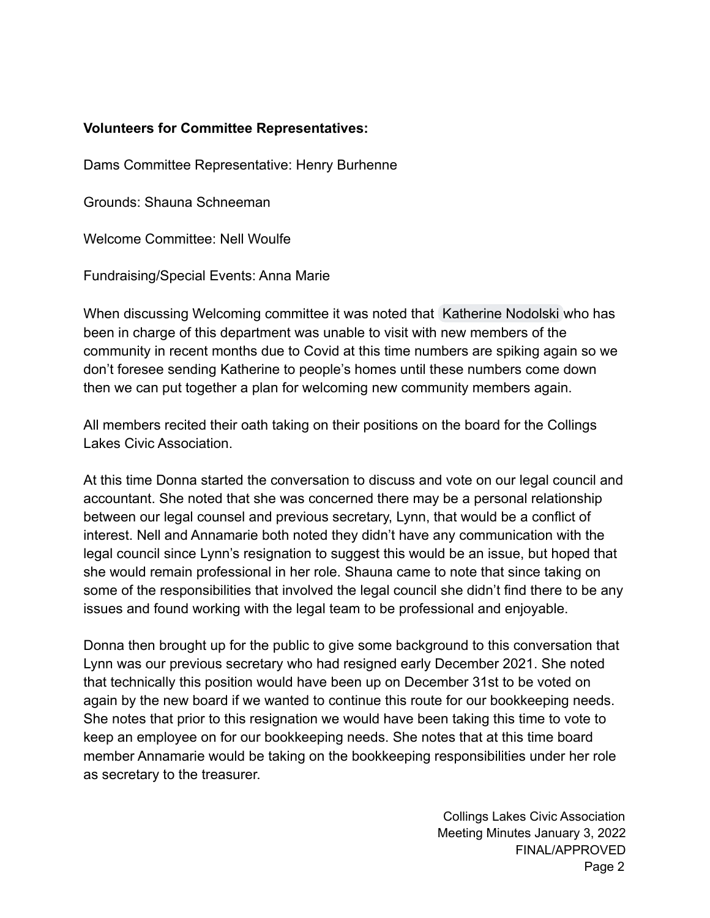## **Volunteers for Committee Representatives:**

Dams Committee Representative: Henry Burhenne

Grounds: Shauna Schneeman

Welcome Committee: Nell Woulfe

Fundraising/Special Events: Anna Marie

When discussing Welcoming committee it was noted that [Katherine Nodolski](mailto:Plantikat@gmail.com) who has been in charge of this department was unable to visit with new members of the community in recent months due to Covid at this time numbers are spiking again so we don't foresee sending Katherine to people's homes until these numbers come down then we can put together a plan for welcoming new community members again.

All members recited their oath taking on their positions on the board for the Collings Lakes Civic Association.

At this time Donna started the conversation to discuss and vote on our legal council and accountant. She noted that she was concerned there may be a personal relationship between our legal counsel and previous secretary, Lynn, that would be a conflict of interest. Nell and Annamarie both noted they didn't have any communication with the legal council since Lynn's resignation to suggest this would be an issue, but hoped that she would remain professional in her role. Shauna came to note that since taking on some of the responsibilities that involved the legal council she didn't find there to be any issues and found working with the legal team to be professional and enjoyable.

Donna then brought up for the public to give some background to this conversation that Lynn was our previous secretary who had resigned early December 2021. She noted that technically this position would have been up on December 31st to be voted on again by the new board if we wanted to continue this route for our bookkeeping needs. She notes that prior to this resignation we would have been taking this time to vote to keep an employee on for our bookkeeping needs. She notes that at this time board member Annamarie would be taking on the bookkeeping responsibilities under her role as secretary to the treasurer.

> Collings Lakes Civic Association Meeting Minutes January 3, 2022 FINAL/APPROVED Page 2